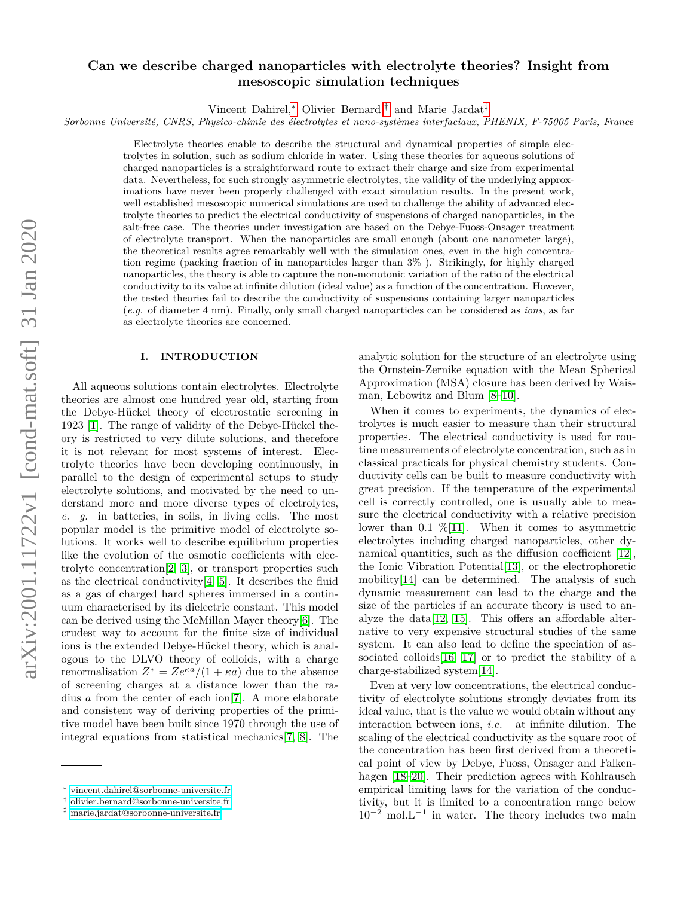# arXiv:2001.11722v1 [cond-mat.soft] 31 Jan 2020 arXiv:2001.11722v1 [cond-mat.soft] 31 Jan 2020

# **Can we describe charged nanoparticles with electrolyte theories? Insight from mesoscopic simulation techniques**

Vincent Dahirel,[∗](#page-0-0) Olivier Bernard,[†](#page-0-1) and Marie Jardat[‡](#page-0-2)

*Sorbonne Université, CNRS, Physico-chimie des électrolytes et nano-systèmes interfaciaux, PHENIX, F-75005 Paris, France*

Electrolyte theories enable to describe the structural and dynamical properties of simple electrolytes in solution, such as sodium chloride in water. Using these theories for aqueous solutions of charged nanoparticles is a straightforward route to extract their charge and size from experimental data. Nevertheless, for such strongly asymmetric electrolytes, the validity of the underlying approximations have never been properly challenged with exact simulation results. In the present work, well established mesoscopic numerical simulations are used to challenge the ability of advanced electrolyte theories to predict the electrical conductivity of suspensions of charged nanoparticles, in the salt-free case. The theories under investigation are based on the Debye-Fuoss-Onsager treatment of electrolyte transport. When the nanoparticles are small enough (about one nanometer large), the theoretical results agree remarkably well with the simulation ones, even in the high concentration regime (packing fraction of in nanoparticles larger than 3% ). Strikingly, for highly charged nanoparticles, the theory is able to capture the non-monotonic variation of the ratio of the electrical conductivity to its value at infinite dilution (ideal value) as a function of the concentration. However, the tested theories fail to describe the conductivity of suspensions containing larger nanoparticles (*e.g.* of diameter 4 nm). Finally, only small charged nanoparticles can be considered as *ions*, as far as electrolyte theories are concerned.

## **I. INTRODUCTION**

All aqueous solutions contain electrolytes. Electrolyte theories are almost one hundred year old, starting from the Debye-Hückel theory of electrostatic screening in 1923 [\[1\]](#page-12-0). The range of validity of the Debye-Hückel theory is restricted to very dilute solutions, and therefore it is not relevant for most systems of interest. Electrolyte theories have been developing continuously, in parallel to the design of experimental setups to study electrolyte solutions, and motivated by the need to understand more and more diverse types of electrolytes, *e. g.* in batteries, in soils, in living cells. The most popular model is the primitive model of electrolyte solutions. It works well to describe equilibrium properties like the evolution of the osmotic coefficients with electrolyte concentration[\[2,](#page-12-1) [3\]](#page-12-2), or transport properties such as the electrical conductivity[\[4,](#page-12-3) [5\]](#page-12-4). It describes the fluid as a gas of charged hard spheres immersed in a continuum characterised by its dielectric constant. This model can be derived using the McMillan Mayer theory[\[6\]](#page-12-5). The crudest way to account for the finite size of individual ions is the extended Debye-Hückel theory, which is analogous to the DLVO theory of colloids, with a charge renormalisation  $Z^* = Ze^{\kappa a}/(1 + \kappa a)$  due to the absence of screening charges at a distance lower than the radius *a* from the center of each ion[\[7\]](#page-12-6). A more elaborate and consistent way of deriving properties of the primitive model have been built since 1970 through the use of integral equations from statistical mechanics[\[7,](#page-12-6) [8\]](#page-12-7). The

analytic solution for the structure of an electrolyte using the Ornstein-Zernike equation with the Mean Spherical Approximation (MSA) closure has been derived by Waisman, Lebowitz and Blum [\[8–](#page-12-7)[10\]](#page-12-8).

When it comes to experiments, the dynamics of electrolytes is much easier to measure than their structural properties. The electrical conductivity is used for routine measurements of electrolyte concentration, such as in classical practicals for physical chemistry students. Conductivity cells can be built to measure conductivity with great precision. If the temperature of the experimental cell is correctly controlled, one is usually able to measure the electrical conductivity with a relative precision lower than 0.1  $\%/11$ . When it comes to asymmetric electrolytes including charged nanoparticles, other dynamical quantities, such as the diffusion coefficient [\[12\]](#page-12-10), the Ionic Vibration Potential[\[13\]](#page-12-11), or the electrophoretic mobility[\[14\]](#page-12-12) can be determined. The analysis of such dynamic measurement can lead to the charge and the size of the particles if an accurate theory is used to analyze the data  $[12, 15]$  $[12, 15]$ . This offers an affordable alternative to very expensive structural studies of the same system. It can also lead to define the speciation of associated colloids[\[16,](#page-13-1) [17\]](#page-13-2) or to predict the stability of a charge-stabilized system[\[14\]](#page-12-12).

Even at very low concentrations, the electrical conductivity of electrolyte solutions strongly deviates from its ideal value, that is the value we would obtain without any interaction between ions, *i.e.* at infinite dilution. The scaling of the electrical conductivity as the square root of the concentration has been first derived from a theoretical point of view by Debye, Fuoss, Onsager and Falken-hagen [\[18–](#page-13-3)[20\]](#page-13-4). Their prediction agrees with Kohlrausch empirical limiting laws for the variation of the conductivity, but it is limited to a concentration range below  $10^{-2}$  mol.L<sup>-1</sup> in water. The theory includes two main

<span id="page-0-0"></span><sup>∗</sup> [vincent.dahirel@sorbonne-universite.fr](mailto:vincent.dahirel@sorbonne-universite.fr)

<span id="page-0-1"></span><sup>†</sup> [olivier.bernard@sorbonne-universite.fr](mailto:olivier.bernard@sorbonne-universite.fr)

<span id="page-0-2"></span><sup>‡</sup> [marie.jardat@sorbonne-universite.fr](mailto:marie.jardat@sorbonne-universite.fr)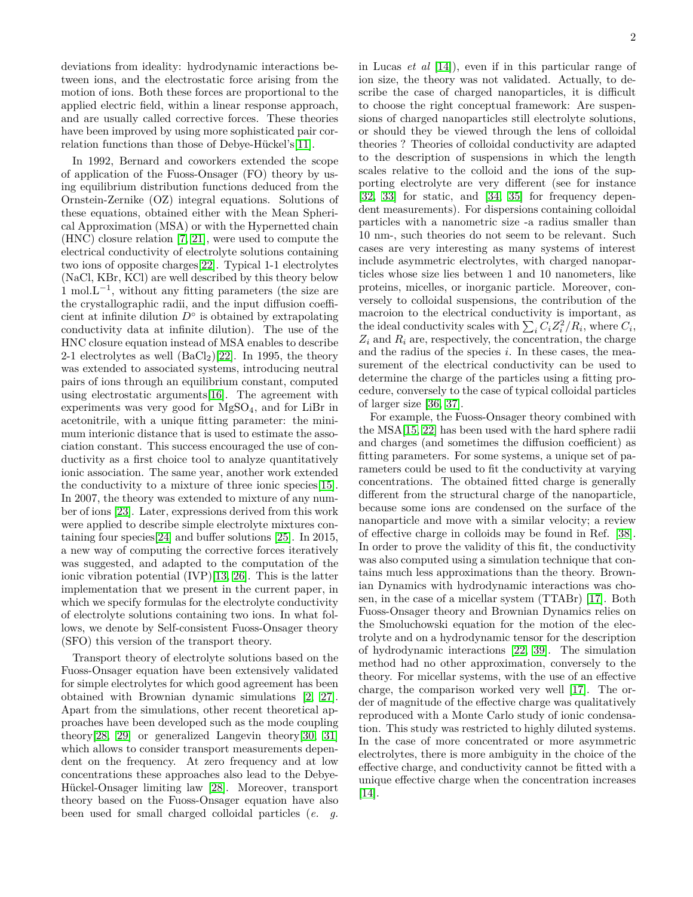deviations from ideality: hydrodynamic interactions between ions, and the electrostatic force arising from the motion of ions. Both these forces are proportional to the applied electric field, within a linear response approach, and are usually called corrective forces. These theories have been improved by using more sophisticated pair correlation functions than those of Debye-Hückel's[\[11\]](#page-12-9).

In 1992, Bernard and coworkers extended the scope of application of the Fuoss-Onsager (FO) theory by using equilibrium distribution functions deduced from the Ornstein-Zernike (OZ) integral equations. Solutions of these equations, obtained either with the Mean Spherical Approximation (MSA) or with the Hypernetted chain (HNC) closure relation [\[7,](#page-12-6) [21\]](#page-13-5), were used to compute the electrical conductivity of electrolyte solutions containing two ions of opposite charges[\[22\]](#page-13-6). Typical 1-1 electrolytes (NaCl, KBr, KCl) are well described by this theory below 1 mol.L−<sup>1</sup> , without any fitting parameters (the size are the crystallographic radii, and the input diffusion coefficient at infinite dilution  $D^{\circ}$  is obtained by extrapolating conductivity data at infinite dilution). The use of the HNC closure equation instead of MSA enables to describe 2-1 electrolytes as well  $(BaCl<sub>2</sub>)[22]$  $(BaCl<sub>2</sub>)[22]$ . In 1995, the theory was extended to associated systems, introducing neutral pairs of ions through an equilibrium constant, computed using electrostatic arguments[\[16\]](#page-13-1). The agreement with experiments was very good for  $MgSO<sub>4</sub>$ , and for LiBr in acetonitrile, with a unique fitting parameter: the minimum interionic distance that is used to estimate the association constant. This success encouraged the use of conductivity as a first choice tool to analyze quantitatively ionic association. The same year, another work extended the conductivity to a mixture of three ionic species[\[15\]](#page-13-0). In 2007, the theory was extended to mixture of any number of ions [\[23\]](#page-13-7). Later, expressions derived from this work were applied to describe simple electrolyte mixtures containing four species[\[24\]](#page-13-8) and buffer solutions [\[25\]](#page-13-9). In 2015, a new way of computing the corrective forces iteratively was suggested, and adapted to the computation of the ionic vibration potential (IVP)[\[13,](#page-12-11) [26\]](#page-13-10). This is the latter implementation that we present in the current paper, in which we specify formulas for the electrolyte conductivity of electrolyte solutions containing two ions. In what follows, we denote by Self-consistent Fuoss-Onsager theory (SFO) this version of the transport theory.

Transport theory of electrolyte solutions based on the Fuoss-Onsager equation have been extensively validated for simple electrolytes for which good agreement has been obtained with Brownian dynamic simulations [\[2,](#page-12-1) [27\]](#page-13-11). Apart from the simulations, other recent theoretical approaches have been developed such as the mode coupling theory[\[28,](#page-13-12) [29\]](#page-13-13) or generalized Langevin theory[\[30,](#page-13-14) [31\]](#page-13-15) which allows to consider transport measurements dependent on the frequency. At zero frequency and at low concentrations these approaches also lead to the Debye-Hückel-Onsager limiting law [\[28\]](#page-13-12). Moreover, transport theory based on the Fuoss-Onsager equation have also been used for small charged colloidal particles (*e. g.* in Lucas *et al* [\[14\]](#page-12-12)), even if in this particular range of ion size, the theory was not validated. Actually, to describe the case of charged nanoparticles, it is difficult to choose the right conceptual framework: Are suspensions of charged nanoparticles still electrolyte solutions, or should they be viewed through the lens of colloidal theories ? Theories of colloidal conductivity are adapted to the description of suspensions in which the length scales relative to the colloid and the ions of the supporting electrolyte are very different (see for instance [\[32,](#page-13-16) [33\]](#page-13-17) for static, and [\[34,](#page-13-18) [35\]](#page-13-19) for frequency dependent measurements). For dispersions containing colloidal particles with a nanometric size -a radius smaller than 10 nm-, such theories do not seem to be relevant. Such cases are very interesting as many systems of interest include asymmetric electrolytes, with charged nanoparticles whose size lies between 1 and 10 nanometers, like proteins, micelles, or inorganic particle. Moreover, conversely to colloidal suspensions, the contribution of the macroion to the electrical conductivity is important, as the ideal conductivity scales with  $\sum_{i} C_i Z_i^2 / R_i$ , where  $C_i$ ,  $Z_i$  and  $R_i$  are, respectively, the concentration, the charge and the radius of the species *i*. In these cases, the measurement of the electrical conductivity can be used to determine the charge of the particles using a fitting procedure, conversely to the case of typical colloidal particles of larger size [\[36,](#page-13-20) [37\]](#page-13-21).

For example, the Fuoss-Onsager theory combined with the MSA[\[15,](#page-13-0) [22\]](#page-13-6) has been used with the hard sphere radii and charges (and sometimes the diffusion coefficient) as fitting parameters. For some systems, a unique set of parameters could be used to fit the conductivity at varying concentrations. The obtained fitted charge is generally different from the structural charge of the nanoparticle, because some ions are condensed on the surface of the nanoparticle and move with a similar velocity; a review of effective charge in colloids may be found in Ref. [\[38\]](#page-13-22). In order to prove the validity of this fit, the conductivity was also computed using a simulation technique that contains much less approximations than the theory. Brownian Dynamics with hydrodynamic interactions was chosen, in the case of a micellar system (TTABr) [\[17\]](#page-13-2). Both Fuoss-Onsager theory and Brownian Dynamics relies on the Smoluchowski equation for the motion of the electrolyte and on a hydrodynamic tensor for the description of hydrodynamic interactions [\[22,](#page-13-6) [39\]](#page-13-23). The simulation method had no other approximation, conversely to the theory. For micellar systems, with the use of an effective charge, the comparison worked very well [\[17\]](#page-13-2). The order of magnitude of the effective charge was qualitatively reproduced with a Monte Carlo study of ionic condensation. This study was restricted to highly diluted systems. In the case of more concentrated or more asymmetric electrolytes, there is more ambiguity in the choice of the effective charge, and conductivity cannot be fitted with a unique effective charge when the concentration increases [\[14\]](#page-12-12).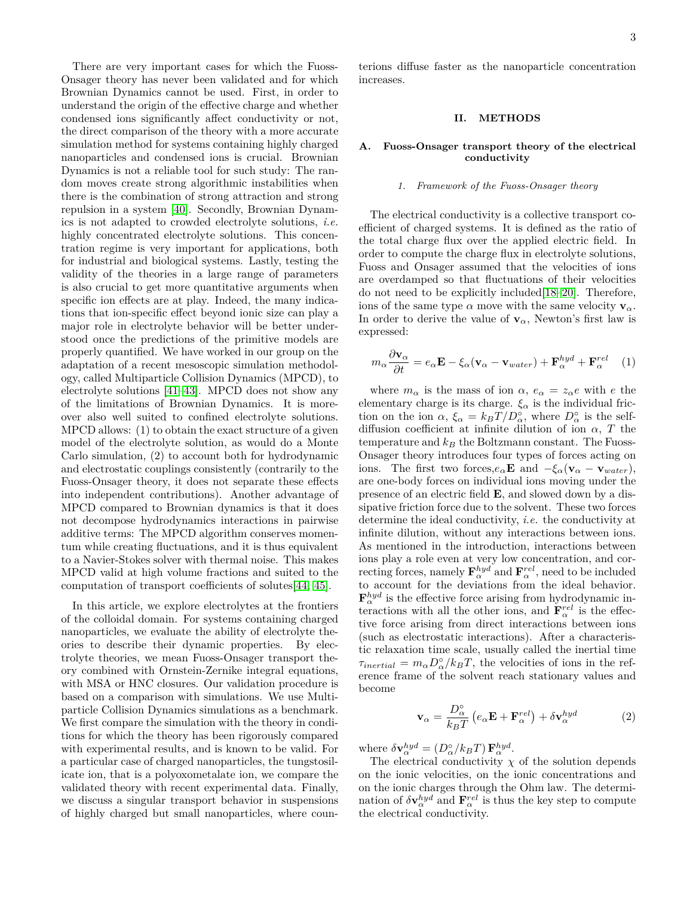There are very important cases for which the Fuoss-Onsager theory has never been validated and for which Brownian Dynamics cannot be used. First, in order to understand the origin of the effective charge and whether condensed ions significantly affect conductivity or not, the direct comparison of the theory with a more accurate simulation method for systems containing highly charged nanoparticles and condensed ions is crucial. Brownian Dynamics is not a reliable tool for such study: The random moves create strong algorithmic instabilities when there is the combination of strong attraction and strong repulsion in a system [\[40\]](#page-13-24). Secondly, Brownian Dynamics is not adapted to crowded electrolyte solutions, *i.e.* highly concentrated electrolyte solutions. This concentration regime is very important for applications, both for industrial and biological systems. Lastly, testing the validity of the theories in a large range of parameters is also crucial to get more quantitative arguments when specific ion effects are at play. Indeed, the many indications that ion-specific effect beyond ionic size can play a major role in electrolyte behavior will be better understood once the predictions of the primitive models are properly quantified. We have worked in our group on the adaptation of a recent mesoscopic simulation methodology, called Multiparticle Collision Dynamics (MPCD), to electrolyte solutions [\[41](#page-13-25)[–43\]](#page-13-26). MPCD does not show any of the limitations of Brownian Dynamics. It is moreover also well suited to confined electrolyte solutions. MPCD allows: (1) to obtain the exact structure of a given model of the electrolyte solution, as would do a Monte Carlo simulation, (2) to account both for hydrodynamic and electrostatic couplings consistently (contrarily to the Fuoss-Onsager theory, it does not separate these effects into independent contributions). Another advantage of MPCD compared to Brownian dynamics is that it does not decompose hydrodynamics interactions in pairwise additive terms: The MPCD algorithm conserves momentum while creating fluctuations, and it is thus equivalent to a Navier-Stokes solver with thermal noise. This makes MPCD valid at high volume fractions and suited to the computation of transport coefficients of solutes[\[44,](#page-13-27) [45\]](#page-13-28).

In this article, we explore electrolytes at the frontiers of the colloidal domain. For systems containing charged nanoparticles, we evaluate the ability of electrolyte theories to describe their dynamic properties. By electrolyte theories, we mean Fuoss-Onsager transport theory combined with Ornstein-Zernike integral equations, with MSA or HNC closures. Our validation procedure is based on a comparison with simulations. We use Multiparticle Collision Dynamics simulations as a benchmark. We first compare the simulation with the theory in conditions for which the theory has been rigorously compared with experimental results, and is known to be valid. For a particular case of charged nanoparticles, the tungstosilicate ion, that is a polyoxometalate ion, we compare the validated theory with recent experimental data. Finally, we discuss a singular transport behavior in suspensions of highly charged but small nanoparticles, where coun3

terions diffuse faster as the nanoparticle concentration increases.

## **II. METHODS**

## **A. Fuoss-Onsager transport theory of the electrical conductivity**

## *1. Framework of the Fuoss-Onsager theory*

The electrical conductivity is a collective transport coefficient of charged systems. It is defined as the ratio of the total charge flux over the applied electric field. In order to compute the charge flux in electrolyte solutions, Fuoss and Onsager assumed that the velocities of ions are overdamped so that fluctuations of their velocities do not need to be explicitly included[\[18–](#page-13-3)[20\]](#page-13-4). Therefore, ions of the same type  $\alpha$  move with the same velocity  $\mathbf{v}_{\alpha}$ . In order to derive the value of  $\mathbf{v}_{\alpha}$ , Newton's first law is expressed:

$$
m_{\alpha} \frac{\partial \mathbf{v}_{\alpha}}{\partial t} = e_{\alpha} \mathbf{E} - \xi_{\alpha} (\mathbf{v}_{\alpha} - \mathbf{v}_{water}) + \mathbf{F}_{\alpha}^{hyd} + \mathbf{F}_{\alpha}^{rel} \quad (1)
$$

where  $m_{\alpha}$  is the mass of ion  $\alpha$ ,  $e_{\alpha} = z_{\alpha}e$  with *e* the elementary charge is its charge.  $\xi_{\alpha}$  is the individual friction on the ion  $\alpha$ ,  $\xi_{\alpha} = k_B T / D_{\alpha}^{\circ}$ , where  $D_{\alpha}^{\circ}$  is the selfdiffusion coefficient at infinite dilution of ion *α*, *T* the temperature and  $k_B$  the Boltzmann constant. The Fuoss-Onsager theory introduces four types of forces acting on ions. The first two forces, $e_{\alpha}$ **E** and  $-\xi_{\alpha}(\mathbf{v}_{\alpha} - \mathbf{v}_{water})$ , are one-body forces on individual ions moving under the presence of an electric field **E**, and slowed down by a dissipative friction force due to the solvent. These two forces determine the ideal conductivity, *i.e.* the conductivity at infinite dilution, without any interactions between ions. As mentioned in the introduction, interactions between ions play a role even at very low concentration, and correcting forces, namely  $\mathbf{F}_{\alpha}^{hyd}$  and  $\mathbf{F}_{\alpha}^{rel}$ , need to be included to account for the deviations from the ideal behavior.  $\mathbf{F}_{\alpha}^{hyd}$  is the effective force arising from hydrodynamic interactions with all the other ions, and  $\mathbf{F}_{\alpha}^{rel}$  is the effective force arising from direct interactions between ions (such as electrostatic interactions). After a characteristic relaxation time scale, usually called the inertial time  $\tau_{inertial} = m_{\alpha}D_{\alpha}^{\circ}/k_BT$ , the velocities of ions in the reference frame of the solvent reach stationary values and become

<span id="page-2-0"></span>
$$
\mathbf{v}_{\alpha} = \frac{D_{\alpha}^{\circ}}{k_{B}T} \left( e_{\alpha} \mathbf{E} + \mathbf{F}_{\alpha}^{rel} \right) + \delta \mathbf{v}_{\alpha}^{hyd} \tag{2}
$$

where  $\delta \mathbf{v}_{\alpha}^{hyd} = (D_{\alpha}^{\circ}/k_BT) \mathbf{F}_{\alpha}^{hyd}$ .

The electrical conductivity  $\chi$  of the solution depends on the ionic velocities, on the ionic concentrations and on the ionic charges through the Ohm law. The determination of  $\delta v_\alpha^{hyd}$  and  $\mathbf{F}_\alpha^{rel}$  is thus the key step to compute the electrical conductivity.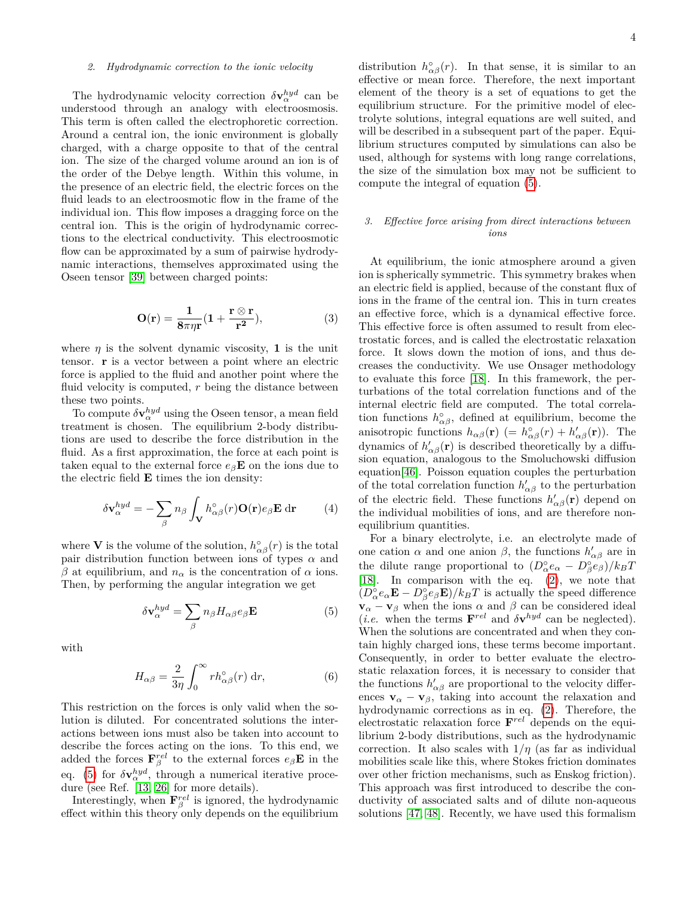## *2. Hydrodynamic correction to the ionic velocity*

The hydrodynamic velocity correction  $\delta \mathbf{v}_{\alpha}^{hyd}$  can be understood through an analogy with electroosmosis. This term is often called the electrophoretic correction. Around a central ion, the ionic environment is globally charged, with a charge opposite to that of the central ion. The size of the charged volume around an ion is of the order of the Debye length. Within this volume, in the presence of an electric field, the electric forces on the fluid leads to an electroosmotic flow in the frame of the individual ion. This flow imposes a dragging force on the central ion. This is the origin of hydrodynamic corrections to the electrical conductivity. This electroosmotic flow can be approximated by a sum of pairwise hydrodynamic interactions, themselves approximated using the Oseen tensor [\[39\]](#page-13-23) between charged points:

$$
O(r) = \frac{1}{8\pi\eta r}(1 + \frac{r \otimes r}{r^2}),
$$
 (3)

where  $\eta$  is the solvent dynamic viscosity, **1** is the unit tensor. **r** is a vector between a point where an electric force is applied to the fluid and another point where the fluid velocity is computed, *r* being the distance between these two points.

To compute  $\delta \mathbf{v}_{\alpha}^{hyd}$  using the Oseen tensor, a mean field treatment is chosen. The equilibrium 2-body distributions are used to describe the force distribution in the fluid. As a first approximation, the force at each point is taken equal to the external force  $e_{\beta}$ **E** on the ions due to the electric field **E** times the ion density:

$$
\delta \mathbf{v}_{\alpha}^{hyd} = -\sum_{\beta} n_{\beta} \int_{\mathbf{V}} h_{\alpha\beta}^{\circ}(r) \mathbf{O}(\mathbf{r}) e_{\beta} \mathbf{E} \, \mathrm{d}\mathbf{r}
$$
 (4)

where **V** is the volume of the solution,  $h^{\circ}_{\alpha\beta}(r)$  is the total pair distribution function between ions of types *α* and *β* at equilibrium, and  $n<sub>α</sub>$  is the concentration of  $α$  ions. Then, by performing the angular integration we get

<span id="page-3-0"></span>
$$
\delta \mathbf{v}_{\alpha}^{hyd} = \sum_{\beta} n_{\beta} H_{\alpha\beta} e_{\beta} \mathbf{E}
$$
 (5)

with

$$
H_{\alpha\beta} = \frac{2}{3\eta} \int_0^\infty r h_{\alpha\beta}^\circ(r) \, \mathrm{d}r,\tag{6}
$$

This restriction on the forces is only valid when the solution is diluted. For concentrated solutions the interactions between ions must also be taken into account to describe the forces acting on the ions. To this end, we added the forces  $\mathbf{F}_{\beta}^{rel}$  to the external forces  $e_{\beta}$ **E** in the eq. [\(5\)](#page-3-0) for  $\delta v_\alpha^{hyd}$ , through a numerical iterative procedure (see Ref. [\[13,](#page-12-11) [26\]](#page-13-10) for more details).

Interestingly, when  $\mathbf{F}_{\beta}^{rel}$  is ignored, the hydrodynamic effect within this theory only depends on the equilibrium

distribution  $h^{\circ}_{\alpha\beta}(r)$ . In that sense, it is similar to an effective or mean force. Therefore, the next important element of the theory is a set of equations to get the equilibrium structure. For the primitive model of electrolyte solutions, integral equations are well suited, and will be described in a subsequent part of the paper. Equilibrium structures computed by simulations can also be used, although for systems with long range correlations, the size of the simulation box may not be sufficient to compute the integral of equation [\(5\)](#page-3-0).

# *3. Effective force arising from direct interactions between ions*

At equilibrium, the ionic atmosphere around a given ion is spherically symmetric. This symmetry brakes when an electric field is applied, because of the constant flux of ions in the frame of the central ion. This in turn creates an effective force, which is a dynamical effective force. This effective force is often assumed to result from electrostatic forces, and is called the electrostatic relaxation force. It slows down the motion of ions, and thus decreases the conductivity. We use Onsager methodology to evaluate this force [\[18\]](#page-13-3). In this framework, the perturbations of the total correlation functions and of the internal electric field are computed. The total correlation functions  $h^{\circ}_{\alpha\beta}$ , defined at equilibrium, become the anisotropic functions  $h_{\alpha\beta}(\mathbf{r})$  (=  $h_{\alpha\beta}^{\circ}(r) + h_{\alpha\beta}'(\mathbf{r})$ ). The dynamics of  $h'_{\alpha\beta}(\mathbf{r})$  is described theoretically by a diffusion equation, analogous to the Smoluchowski diffusion equation[\[46\]](#page-13-29). Poisson equation couples the perturbation of the total correlation function  $h'_{\alpha\beta}$  to the perturbation of the electric field. These functions  $h'_{\alpha\beta}(\mathbf{r})$  depend on the individual mobilities of ions, and are therefore nonequilibrium quantities.

For a binary electrolyte, i.e. an electrolyte made of one cation  $\alpha$  and one anion  $\beta$ , the functions  $h'_{\alpha\beta}$  are in the dilute range proportional to  $(D_{\alpha}^{\circ}e_{\alpha} - D_{\beta}^{\circ}e_{\beta})/k_BT$ [\[18\]](#page-13-3). In comparison with the eq. [\(2\)](#page-2-0), we note that  $(D_{\alpha}^{\circ}e_{\alpha}\mathbf{E} - D_{\beta}^{\circ}e_{\beta}\mathbf{E})/k_BT$  is actually the speed difference **v**<sub>*α*</sub> − **v**<sub>*β*</sub> when the ions *α* and *β* can be considered ideal (*i.e.* when the terms  $\mathbf{F}^{rel}$  and  $\delta \mathbf{v}^{hyd}$  can be neglected). When the solutions are concentrated and when they contain highly charged ions, these terms become important. Consequently, in order to better evaluate the electrostatic relaxation forces, it is necessary to consider that the functions  $h'_{\alpha\beta}$  are proportional to the velocity differences  $\mathbf{v}_{\alpha} - \mathbf{v}_{\beta}$ , taking into account the relaxation and hydrodynamic corrections as in eq. [\(2\)](#page-2-0). Therefore, the electrostatic relaxation force **F** *rel* depends on the equilibrium 2-body distributions, such as the hydrodynamic correction. It also scales with  $1/\eta$  (as far as individual mobilities scale like this, where Stokes friction dominates over other friction mechanisms, such as Enskog friction). This approach was first introduced to describe the conductivity of associated salts and of dilute non-aqueous solutions [\[47,](#page-13-30) [48\]](#page-13-31). Recently, we have used this formalism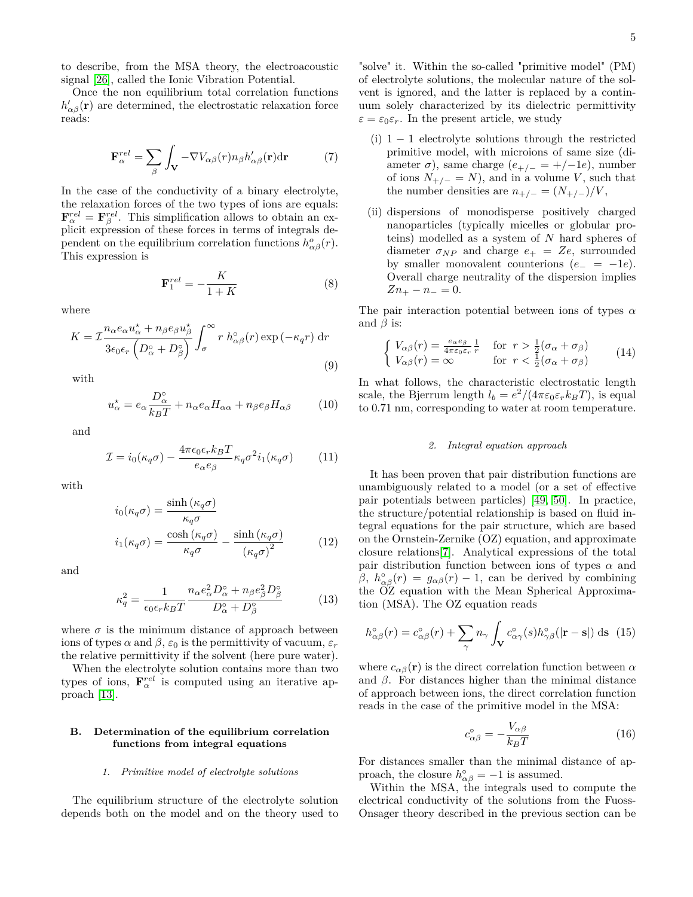to describe, from the MSA theory, the electroacoustic signal [\[26\]](#page-13-10), called the Ionic Vibration Potential.

Once the non equilibrium total correlation functions  $h'_{\alpha\beta}(\mathbf{r})$  are determined, the electrostatic relaxation force reads:

<span id="page-4-1"></span>
$$
\mathbf{F}_{\alpha}^{rel} = \sum_{\beta} \int_{\mathbf{V}} -\nabla V_{\alpha\beta}(r) n_{\beta} h'_{\alpha\beta}(\mathbf{r}) \mathrm{d}\mathbf{r}
$$
 (7)

In the case of the conductivity of a binary electrolyte, the relaxation forces of the two types of ions are equals:  $\mathbf{F}_{\alpha}^{rel} = \mathbf{F}_{\beta}^{rel}$ . This simplification allows to obtain an explicit expression of these forces in terms of integrals dependent on the equilibrium correlation functions  $h^o_{\alpha\beta}(r)$ . This expression is

$$
\mathbf{F}_1^{rel} = -\frac{K}{1+K} \tag{8}
$$

where

$$
K = \mathcal{I} \frac{n_{\alpha} e_{\alpha} u_{\alpha}^{*} + n_{\beta} e_{\beta} u_{\beta}^{*}}{3 \epsilon_{0} \epsilon_{r} \left( D_{\alpha}^{\circ} + D_{\beta}^{\circ} \right)} \int_{\sigma}^{\infty} r h_{\alpha}^{\circ}(\mathbf{r}) \exp\left(-\kappa_{q} r\right) d\mathbf{r}
$$
\n
$$
(9)
$$

with

$$
u_{\alpha}^{\star} = e_{\alpha} \frac{D_{\alpha}^{\circ}}{k_B T} + n_{\alpha} e_{\alpha} H_{\alpha \alpha} + n_{\beta} e_{\beta} H_{\alpha \beta} \tag{10}
$$

and

$$
\mathcal{I} = i_0(\kappa_q \sigma) - \frac{4\pi\epsilon_0\epsilon_r k_B T}{e_\alpha e_\beta} \kappa_q \sigma^2 i_1(\kappa_q \sigma) \tag{11}
$$

with

$$
i_0(\kappa_q \sigma) = \frac{\sinh(\kappa_q \sigma)}{\kappa_q \sigma}
$$

$$
i_1(\kappa_q \sigma) = \frac{\cosh(\kappa_q \sigma)}{\kappa_q \sigma} - \frac{\sinh(\kappa_q \sigma)}{(\kappa_q \sigma)^2}
$$
(12)

and

$$
\kappa_q^2 = \frac{1}{\epsilon_0 \epsilon_r k_B T} \frac{n_\alpha e_\alpha^2 D_\alpha^\circ + n_\beta e_\beta^2 D_\beta^\circ}{D_\alpha^\circ + D_\beta^\circ} \tag{13}
$$

where  $\sigma$  is the minimum distance of approach between ions of types  $\alpha$  and  $\beta$ ,  $\varepsilon_0$  is the permittivity of vacuum,  $\varepsilon_r$ the relative permittivity if the solvent (here pure water).

When the electrolyte solution contains more than two types of ions,  $\mathbf{F}_{\alpha}^{rel}$  is computed using an iterative approach [\[13\]](#page-12-11).

## **B. Determination of the equilibrium correlation functions from integral equations**

# *1. Primitive model of electrolyte solutions*

The equilibrium structure of the electrolyte solution depends both on the model and on the theory used to

"solve" it. Within the so-called "primitive model" (PM) of electrolyte solutions, the molecular nature of the solvent is ignored, and the latter is replaced by a continuum solely characterized by its dielectric permittivity  $\varepsilon = \varepsilon_0 \varepsilon_r$ . In the present article, we study

- (i)  $1 1$  electrolyte solutions through the restricted primitive model, with microions of same size (diameter  $\sigma$ ), same charge ( $e_{+/-}$  = +/−1*e*), number of ions  $N_{+/-} = N$ , and in a volume *V*, such that the number densities are  $n_{+/-} = (N_{+/-})/V$ ,
- (ii) dispersions of monodisperse positively charged nanoparticles (typically micelles or globular proteins) modelled as a system of *N* hard spheres of diameter  $\sigma_{NP}$  and charge  $e_{+} = Ze$ , surrounded by smaller monovalent counterions  $(e_-= -1e)$ . Overall charge neutrality of the dispersion implies  $Zn_{+} - n_{-} = 0.$

The pair interaction potential between ions of types *α* and *β* is:

<span id="page-4-0"></span>
$$
\begin{cases}\nV_{\alpha\beta}(r) = \frac{e_{\alpha}e_{\beta}}{4\pi\varepsilon_0\varepsilon_r} \frac{1}{r} & \text{for } r > \frac{1}{2}(\sigma_{\alpha} + \sigma_{\beta}) \\
V_{\alpha\beta}(r) = \infty & \text{for } r < \frac{1}{2}(\sigma_{\alpha} + \sigma_{\beta})\n\end{cases} (14)
$$

In what follows, the characteristic electrostatic length scale, the Bjerrum length  $l_b = e^2/(4\pi\varepsilon_0\varepsilon_r k_BT)$ , is equal to 0*.*71 nm, corresponding to water at room temperature.

#### *2. Integral equation approach*

It has been proven that pair distribution functions are unambiguously related to a model (or a set of effective pair potentials between particles) [\[49,](#page-13-32) [50\]](#page-13-33). In practice, the structure/potential relationship is based on fluid integral equations for the pair structure, which are based on the Ornstein-Zernike (OZ) equation, and approximate closure relations[\[7\]](#page-12-6). Analytical expressions of the total pair distribution function between ions of types *α* and β,  $h^{\circ}_{\alpha\beta}(r) = g_{\alpha\beta}(r) - 1$ , can be derived by combining the OZ equation with the Mean Spherical Approximation (MSA). The OZ equation reads

$$
h_{\alpha\beta}^{\circ}(r) = c_{\alpha\beta}^{\circ}(r) + \sum_{\gamma} n_{\gamma} \int_{\mathbf{V}} c_{\alpha\gamma}^{\circ}(s) h_{\gamma\beta}^{\circ}(|\mathbf{r} - \mathbf{s}|) \, \mathrm{d}\mathbf{s} \tag{15}
$$

where  $c_{\alpha\beta}(\mathbf{r})$  is the direct correlation function between  $\alpha$ and  $\beta$ . For distances higher than the minimal distance of approach between ions, the direct correlation function reads in the case of the primitive model in the MSA:

$$
c_{\alpha\beta}^{\circ} = -\frac{V_{\alpha\beta}}{k_B T} \tag{16}
$$

For distances smaller than the minimal distance of approach, the closure  $h^{\circ}_{\alpha\beta} = -1$  is assumed.

Within the MSA, the integrals used to compute the electrical conductivity of the solutions from the Fuoss-Onsager theory described in the previous section can be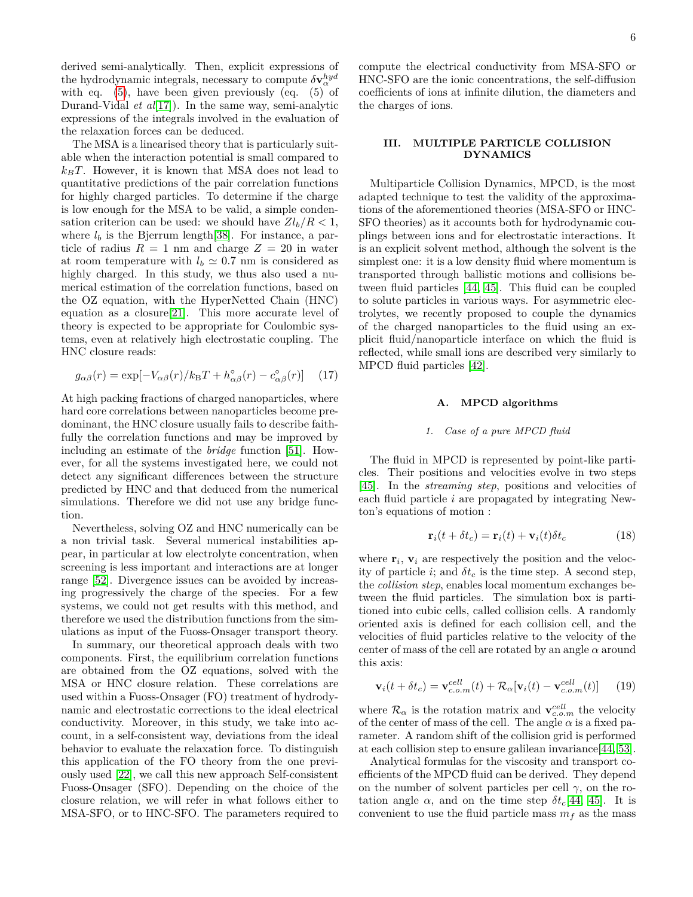derived semi-analytically. Then, explicit expressions of the hydrodynamic integrals, necessary to compute  $\delta \mathbf{v}_{\alpha}^{hyd}$ with eq. [\(5\)](#page-3-0), have been given previously (eq. (5) of Durand-Vidal *et al*[\[17\]](#page-13-2)). In the same way, semi-analytic expressions of the integrals involved in the evaluation of the relaxation forces can be deduced.

The MSA is a linearised theory that is particularly suitable when the interaction potential is small compared to  $k_B T$ . However, it is known that MSA does not lead to quantitative predictions of the pair correlation functions for highly charged particles. To determine if the charge is low enough for the MSA to be valid, a simple condensation criterion can be used: we should have  $Zl_b/R < 1$ , where  $l_b$  is the Bjerrum length [\[38\]](#page-13-22). For instance, a particle of radius  $R = 1$  nm and charge  $Z = 20$  in water at room temperature with  $l_b \simeq 0.7$  nm is considered as highly charged. In this study, we thus also used a numerical estimation of the correlation functions, based on the OZ equation, with the HyperNetted Chain (HNC) equation as a closure[\[21\]](#page-13-5). This more accurate level of theory is expected to be appropriate for Coulombic systems, even at relatively high electrostatic coupling. The HNC closure reads:

$$
g_{\alpha\beta}(r) = \exp[-V_{\alpha\beta}(r)/k_{\rm B}T + h^{\circ}_{\alpha\beta}(r) - c^{\circ}_{\alpha\beta}(r)] \quad (17)
$$

At high packing fractions of charged nanoparticles, where hard core correlations between nanoparticles become predominant, the HNC closure usually fails to describe faithfully the correlation functions and may be improved by including an estimate of the *bridge* function [\[51\]](#page-13-34). However, for all the systems investigated here, we could not detect any significant differences between the structure predicted by HNC and that deduced from the numerical simulations. Therefore we did not use any bridge function.

Nevertheless, solving OZ and HNC numerically can be a non trivial task. Several numerical instabilities appear, in particular at low electrolyte concentration, when screening is less important and interactions are at longer range [\[52\]](#page-13-35). Divergence issues can be avoided by increasing progressively the charge of the species. For a few systems, we could not get results with this method, and therefore we used the distribution functions from the simulations as input of the Fuoss-Onsager transport theory.

In summary, our theoretical approach deals with two components. First, the equilibrium correlation functions are obtained from the OZ equations, solved with the MSA or HNC closure relation. These correlations are used within a Fuoss-Onsager (FO) treatment of hydrodynamic and electrostatic corrections to the ideal electrical conductivity. Moreover, in this study, we take into account, in a self-consistent way, deviations from the ideal behavior to evaluate the relaxation force. To distinguish this application of the FO theory from the one previously used [\[22\]](#page-13-6), we call this new approach Self-consistent Fuoss-Onsager (SFO). Depending on the choice of the closure relation, we will refer in what follows either to MSA-SFO, or to HNC-SFO. The parameters required to

compute the electrical conductivity from MSA-SFO or HNC-SFO are the ionic concentrations, the self-diffusion coefficients of ions at infinite dilution, the diameters and the charges of ions.

## **III. MULTIPLE PARTICLE COLLISION DYNAMICS**

Multiparticle Collision Dynamics, MPCD, is the most adapted technique to test the validity of the approximations of the aforementioned theories (MSA-SFO or HNC-SFO theories) as it accounts both for hydrodynamic couplings between ions and for electrostatic interactions. It is an explicit solvent method, although the solvent is the simplest one: it is a low density fluid where momentum is transported through ballistic motions and collisions between fluid particles [\[44,](#page-13-27) [45\]](#page-13-28). This fluid can be coupled to solute particles in various ways. For asymmetric electrolytes, we recently proposed to couple the dynamics of the charged nanoparticles to the fluid using an explicit fluid/nanoparticle interface on which the fluid is reflected, while small ions are described very similarly to MPCD fluid particles [\[42\]](#page-13-36).

## **A. MPCD algorithms**

## *1. Case of a pure MPCD fluid*

The fluid in MPCD is represented by point-like particles. Their positions and velocities evolve in two steps [\[45\]](#page-13-28). In the *streaming step*, positions and velocities of each fluid particle *i* are propagated by integrating Newton's equations of motion :

<span id="page-5-1"></span>
$$
\mathbf{r}_i(t + \delta t_c) = \mathbf{r}_i(t) + \mathbf{v}_i(t)\delta t_c \tag{18}
$$

where  $\mathbf{r}_i$ ,  $\mathbf{v}_i$  are respectively the position and the velocity of particle *i*; and  $\delta t_c$  is the time step. A second step, the *collision step*, enables local momentum exchanges between the fluid particles. The simulation box is partitioned into cubic cells, called collision cells. A randomly oriented axis is defined for each collision cell, and the velocities of fluid particles relative to the velocity of the center of mass of the cell are rotated by an angle  $\alpha$  around this axis:

<span id="page-5-0"></span>
$$
\mathbf{v}_i(t + \delta t_c) = \mathbf{v}_{c.o.m}^{cell}(t) + \mathcal{R}_{\alpha}[\mathbf{v}_i(t) - \mathbf{v}_{c.o.m}^{cell}(t)] \tag{19}
$$

where  $\mathcal{R}_{\alpha}$  is the rotation matrix and  $\mathbf{v}_{c.o.m}^{cell}$  the velocity of the center of mass of the cell. The angle  $\alpha$  is a fixed parameter. A random shift of the collision grid is performed at each collision step to ensure galilean invariance[\[44,](#page-13-27) [53\]](#page-13-37).

Analytical formulas for the viscosity and transport coefficients of the MPCD fluid can be derived. They depend on the number of solvent particles per cell  $\gamma$ , on the rotation angle  $\alpha$ , and on the time step  $\delta t_c$ [\[44,](#page-13-27) [45\]](#page-13-28). It is convenient to use the fluid particle mass  $m_f$  as the mass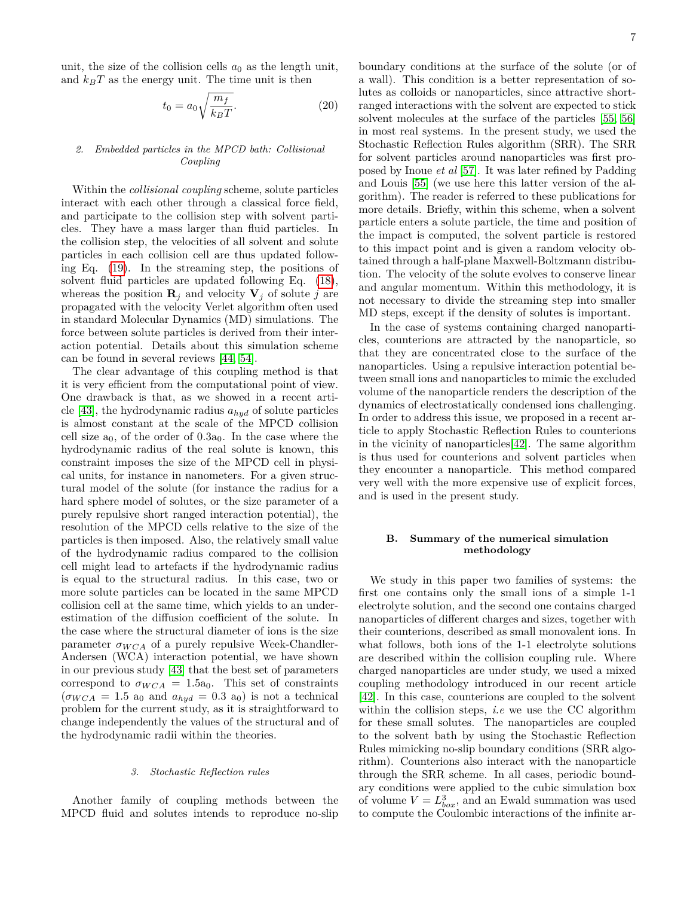unit, the size of the collision cells  $a_0$  as the length unit, and  $k_B T$  as the energy unit. The time unit is then

$$
t_0 = a_0 \sqrt{\frac{m_f}{k_B T}}.\t(20)
$$

# *2. Embedded particles in the MPCD bath: Collisional Coupling*

Within the *collisional coupling* scheme, solute particles interact with each other through a classical force field, and participate to the collision step with solvent particles. They have a mass larger than fluid particles. In the collision step, the velocities of all solvent and solute particles in each collision cell are thus updated following Eq. [\(19\)](#page-5-0). In the streaming step, the positions of solvent fluid particles are updated following Eq. [\(18\)](#page-5-1), whereas the position  $\mathbf{R}_j$  and velocity  $\mathbf{V}_j$  of solute *j* are propagated with the velocity Verlet algorithm often used in standard Molecular Dynamics (MD) simulations. The force between solute particles is derived from their interaction potential. Details about this simulation scheme can be found in several reviews [\[44,](#page-13-27) [54\]](#page-13-38).

The clear advantage of this coupling method is that it is very efficient from the computational point of view. One drawback is that, as we showed in a recent article [\[43\]](#page-13-26), the hydrodynamic radius *ahyd* of solute particles is almost constant at the scale of the MPCD collision cell size  $a_0$ , of the order of  $0.3a_0$ . In the case where the hydrodynamic radius of the real solute is known, this constraint imposes the size of the MPCD cell in physical units, for instance in nanometers. For a given structural model of the solute (for instance the radius for a hard sphere model of solutes, or the size parameter of a purely repulsive short ranged interaction potential), the resolution of the MPCD cells relative to the size of the particles is then imposed. Also, the relatively small value of the hydrodynamic radius compared to the collision cell might lead to artefacts if the hydrodynamic radius is equal to the structural radius. In this case, two or more solute particles can be located in the same MPCD collision cell at the same time, which yields to an underestimation of the diffusion coefficient of the solute. In the case where the structural diameter of ions is the size parameter  $\sigma_{WCA}$  of a purely repulsive Week-Chandler-Andersen (WCA) interaction potential, we have shown in our previous study [\[43\]](#page-13-26) that the best set of parameters correspond to  $\sigma_{WCA} = 1.5a_0$ . This set of constraints  $(\sigma_{WCA} = 1.5 \text{ a}_0 \text{ and } a_{hyd} = 0.3 \text{ a}_0)$  is not a technical problem for the current study, as it is straightforward to change independently the values of the structural and of the hydrodynamic radii within the theories.

## *3. Stochastic Reflection rules*

Another family of coupling methods between the MPCD fluid and solutes intends to reproduce no-slip boundary conditions at the surface of the solute (or of a wall). This condition is a better representation of solutes as colloids or nanoparticles, since attractive shortranged interactions with the solvent are expected to stick solvent molecules at the surface of the particles [\[55,](#page-13-39) [56\]](#page-13-40) in most real systems. In the present study, we used the Stochastic Reflection Rules algorithm (SRR). The SRR for solvent particles around nanoparticles was first proposed by Inoue *et al* [\[57\]](#page-13-41). It was later refined by Padding and Louis [\[55\]](#page-13-39) (we use here this latter version of the algorithm). The reader is referred to these publications for more details. Briefly, within this scheme, when a solvent particle enters a solute particle, the time and position of the impact is computed, the solvent particle is restored to this impact point and is given a random velocity obtained through a half-plane Maxwell-Boltzmann distribution. The velocity of the solute evolves to conserve linear and angular momentum. Within this methodology, it is not necessary to divide the streaming step into smaller MD steps, except if the density of solutes is important.

In the case of systems containing charged nanoparticles, counterions are attracted by the nanoparticle, so that they are concentrated close to the surface of the nanoparticles. Using a repulsive interaction potential between small ions and nanoparticles to mimic the excluded volume of the nanoparticle renders the description of the dynamics of electrostatically condensed ions challenging. In order to address this issue, we proposed in a recent article to apply Stochastic Reflection Rules to counterions in the vicinity of nanoparticles[\[42\]](#page-13-36). The same algorithm is thus used for counterions and solvent particles when they encounter a nanoparticle. This method compared very well with the more expensive use of explicit forces, and is used in the present study.

# **B. Summary of the numerical simulation methodology**

We study in this paper two families of systems: the first one contains only the small ions of a simple 1-1 electrolyte solution, and the second one contains charged nanoparticles of different charges and sizes, together with their counterions, described as small monovalent ions. In what follows, both ions of the 1-1 electrolyte solutions are described within the collision coupling rule. Where charged nanoparticles are under study, we used a mixed coupling methodology introduced in our recent article [\[42\]](#page-13-36). In this case, counterions are coupled to the solvent within the collision steps, *i.e* we use the CC algorithm for these small solutes. The nanoparticles are coupled to the solvent bath by using the Stochastic Reflection Rules mimicking no-slip boundary conditions (SRR algorithm). Counterions also interact with the nanoparticle through the SRR scheme. In all cases, periodic boundary conditions were applied to the cubic simulation box of volume  $V = L_{box}^3$ , and an Ewald summation was used to compute the Coulombic interactions of the infinite ar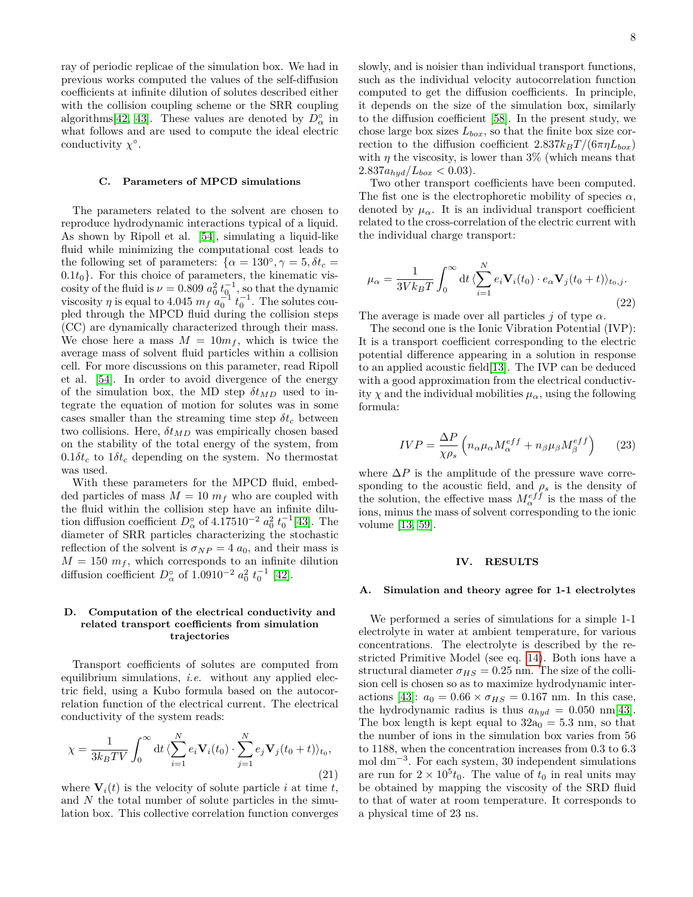ray of periodic replicae of the simulation box. We had in previous works computed the values of the self-diffusion coefficients at infinite dilution of solutes described either with the collision coupling scheme or the SRR coupling algorithms[\[42,](#page-13-36) [43\]](#page-13-26). These values are denoted by  $D_{\alpha}^{\circ}$  in what follows and are used to compute the ideal electric conductivity  $\chi^{\circ}$ .

#### **C. Parameters of MPCD simulations**

The parameters related to the solvent are chosen to reproduce hydrodynamic interactions typical of a liquid. As shown by Ripoll et al. [\[54\]](#page-13-38), simulating a liquid-like fluid while minimizing the computational cost leads to the following set of parameters:  $\{\alpha = 130^{\circ}, \gamma = 5, \delta t_c =$  $0.1t_0$ . For this choice of parameters, the kinematic viscosity of the fluid is  $\nu = 0.809 a_0^2 t_0^{-1}$ , so that the dynamic viscosity  $\eta$  is equal to 4.045  $m_f a_0^{-1} t_0^{-1}$ . The solutes coupled through the MPCD fluid during the collision steps (CC) are dynamically characterized through their mass. We chose here a mass  $M = 10m_f$ , which is twice the average mass of solvent fluid particles within a collision cell. For more discussions on this parameter, read Ripoll et al. [\[54\]](#page-13-38). In order to avoid divergence of the energy of the simulation box, the MD step *δtMD* used to integrate the equation of motion for solutes was in some cases smaller than the streaming time step  $\delta t_c$  between two collisions. Here, *δtMD* was empirically chosen based on the stability of the total energy of the system, from  $0.1\delta t_c$  to  $1\delta t_c$  depending on the system. No thermostat was used.

With these parameters for the MPCD fluid, embedded particles of mass  $M = 10 m_f$  who are coupled with the fluid within the collision step have an infinite dilution diffusion coefficient  $D^{\circ}_{\alpha}$  of 4*.*17510<sup>-2</sup>  $a_0^2 t_0^{-1}$ [\[43\]](#page-13-26). The diameter of SRR particles characterizing the stochastic reflection of the solvent is  $\sigma_{NP} = 4 a_0$ , and their mass is  $M = 150$   $m<sub>f</sub>$ , which corresponds to an infinite dilution diffusion coefficient  $D^{\circ}_{\alpha}$  of 1.0910<sup>-2</sup>  $a_0^2 t_0^{-1}$  [\[42\]](#page-13-36).

## **D. Computation of the electrical conductivity and related transport coefficients from simulation trajectories**

Transport coefficients of solutes are computed from equilibrium simulations, *i.e.* without any applied electric field, using a Kubo formula based on the autocorrelation function of the electrical current. The electrical conductivity of the system reads:

$$
\chi = \frac{1}{3k_B T V} \int_0^\infty dt \, \langle \sum_{i=1}^N e_i \mathbf{V}_i(t_0) \cdot \sum_{j=1}^N e_j \mathbf{V}_j(t_0 + t) \rangle_{t_0},\tag{21}
$$

where  $\mathbf{V}_i(t)$  is the velocity of solute particle *i* at time *t*, and *N* the total number of solute particles in the simulation box. This collective correlation function converges slowly, and is noisier than individual transport functions, such as the individual velocity autocorrelation function computed to get the diffusion coefficients. In principle, it depends on the size of the simulation box, similarly to the diffusion coefficient [\[58\]](#page-13-42). In the present study, we chose large box sizes *Lbox*, so that the finite box size correction to the diffusion coefficient  $2.837k_BT/(6\pi\eta L_{box})$ with  $\eta$  the viscosity, is lower than 3% (which means that  $2.837a_{hyd}/L_{box} < 0.03$ .

Two other transport coefficients have been computed. The fist one is the electrophoretic mobility of species  $\alpha$ , denoted by  $\mu_{\alpha}$ . It is an individual transport coefficient related to the cross-correlation of the electric current with the individual charge transport:

$$
\mu_{\alpha} = \frac{1}{3Vk_BT} \int_0^{\infty} dt \langle \sum_{i=1}^N e_i \mathbf{V}_i(t_0) \cdot e_{\alpha} \mathbf{V}_j(t_0 + t) \rangle_{t_0, j}.
$$
\n(22)

The average is made over all particles *j* of type *α*.

The second one is the Ionic Vibration Potential (IVP): It is a transport coefficient corresponding to the electric potential difference appearing in a solution in response to an applied acoustic field[\[13\]](#page-12-11). The IVP can be deduced with a good approximation from the electrical conductivity  $\chi$  and the individual mobilities  $\mu_{\alpha}$ , using the following formula:

$$
IVP = \frac{\Delta P}{\chi \rho_s} \left( n_\alpha \mu_\alpha M_\alpha^{eff} + n_\beta \mu_\beta M_\beta^{eff} \right) \tag{23}
$$

where  $\Delta P$  is the amplitude of the pressure wave corresponding to the acoustic field, and  $\rho_s$  is the density of the solution, the effective mass  $M_{\alpha}^{eff}$  is the mass of the ions, minus the mass of solvent corresponding to the ionic volume [\[13,](#page-12-11) [59\]](#page-13-43).

## **IV. RESULTS**

#### **A. Simulation and theory agree for 1-1 electrolytes**

We performed a series of simulations for a simple 1-1 electrolyte in water at ambient temperature, for various concentrations. The electrolyte is described by the restricted Primitive Model (see eq. [14\)](#page-4-0). Both ions have a structural diameter  $\sigma_{HS} = 0.25$  nm. The size of the collision cell is chosen so as to maximize hydrodynamic inter-actions [\[43\]](#page-13-26):  $a_0 = 0.66 \times \sigma_{HS} = 0.167$  nm. In this case, the hydrodynamic radius is thus  $a_{hyd} = 0.050$  nm [\[43\]](#page-13-26). The box length is kept equal to  $32a_0 = 5.3$  nm, so that the number of ions in the simulation box varies from 56 to 1188, when the concentration increases from 0*.*3 to 6*.*3 mol dm<sup>−3</sup>. For each system, 30 independent simulations are run for  $2 \times 10^5 t_0$ . The value of  $t_0$  in real units may be obtained by mapping the viscosity of the SRD fluid to that of water at room temperature. It corresponds to a physical time of 23 ns.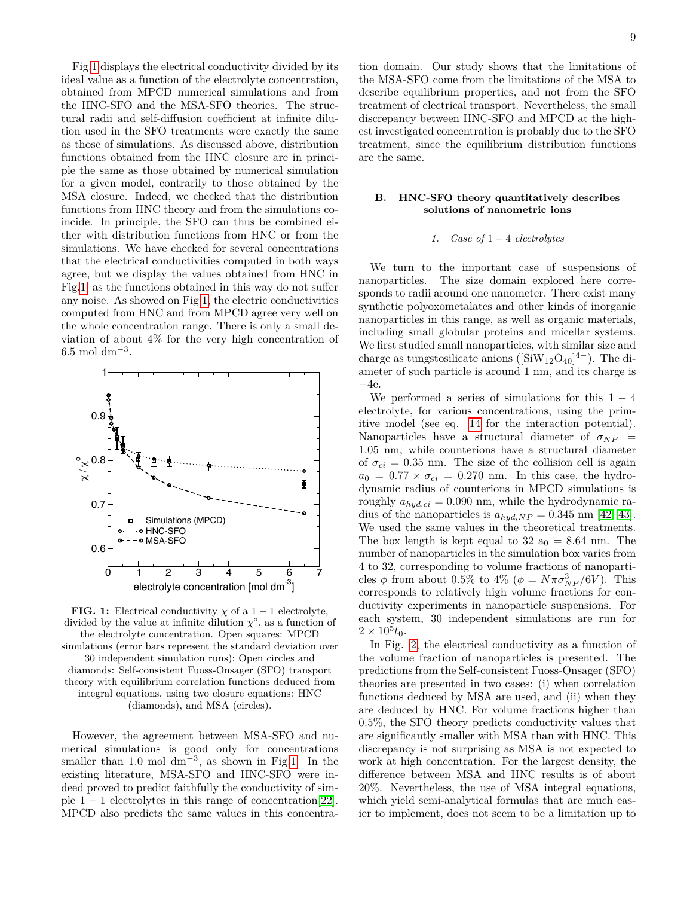Fig[.1](#page-8-0) displays the electrical conductivity divided by its ideal value as a function of the electrolyte concentration, obtained from MPCD numerical simulations and from the HNC-SFO and the MSA-SFO theories. The structural radii and self-diffusion coefficient at infinite dilution used in the SFO treatments were exactly the same as those of simulations. As discussed above, distribution functions obtained from the HNC closure are in principle the same as those obtained by numerical simulation for a given model, contrarily to those obtained by the MSA closure. Indeed, we checked that the distribution functions from HNC theory and from the simulations coincide. In principle, the SFO can thus be combined either with distribution functions from HNC or from the simulations. We have checked for several concentrations that the electrical conductivities computed in both ways agree, but we display the values obtained from HNC in Fig[.1,](#page-8-0) as the functions obtained in this way do not suffer any noise. As showed on Fig[.1,](#page-8-0) the electric conductivities computed from HNC and from MPCD agree very well on the whole concentration range. There is only a small deviation of about 4% for the very high concentration of  $6.5 \text{ mol dm}^{-3}$ .

<span id="page-8-0"></span>

**FIG. 1:** Electrical conductivity  $\chi$  of a 1 − 1 electrolyte, divided by the value at infinite dilution  $\chi^{\circ}$ , as a function of the electrolyte concentration. Open squares: MPCD simulations (error bars represent the standard deviation over 30 independent simulation runs); Open circles and diamonds: Self-consistent Fuoss-Onsager (SFO) transport theory with equilibrium correlation functions deduced from integral equations, using two closure equations: HNC (diamonds), and MSA (circles).

However, the agreement between MSA-SFO and numerical simulations is good only for concentrations smaller than 1.0 mol  $dm^{-3}$ , as shown in Fig[.1.](#page-8-0) In the existing literature, MSA-SFO and HNC-SFO were indeed proved to predict faithfully the conductivity of simple  $1 - 1$  electrolytes in this range of concentration[\[22\]](#page-13-6). MPCD also predicts the same values in this concentration domain. Our study shows that the limitations of the MSA-SFO come from the limitations of the MSA to describe equilibrium properties, and not from the SFO treatment of electrical transport. Nevertheless, the small discrepancy between HNC-SFO and MPCD at the highest investigated concentration is probably due to the SFO treatment, since the equilibrium distribution functions are the same.

# **B. HNC-SFO theory quantitatively describes solutions of nanometric ions**

## *1. Case of* 1 − 4 *electrolytes*

We turn to the important case of suspensions of nanoparticles. The size domain explored here corresponds to radii around one nanometer. There exist many synthetic polyoxometalates and other kinds of inorganic nanoparticles in this range, as well as organic materials, including small globular proteins and micellar systems. We first studied small nanoparticles, with similar size and charge as tungstosilicate anions ( $[\text{SiW}_{12}\text{O}_{40}]^{4-}$ ). The diameter of such particle is around 1 nm, and its charge is −4e.

We performed a series of simulations for this  $1 - 4$ electrolyte, for various concentrations, using the primitive model (see eq. [14](#page-4-0) for the interaction potential). Nanoparticles have a structural diameter of  $\sigma_{NP}$  = 1*.*05 nm, while counterions have a structural diameter of  $\sigma_{ci} = 0.35$  nm. The size of the collision cell is again  $a_0 = 0.77 \times \sigma_{ci} = 0.270$  nm. In this case, the hydrodynamic radius of counterions in MPCD simulations is roughly  $a_{hyd,ci} = 0.090$  nm, while the hydrodynamic radius of the nanoparticles is  $a_{hyd,NP} = 0.345$  nm [\[42,](#page-13-36) [43\]](#page-13-26). We used the same values in the theoretical treatments. The box length is kept equal to  $32 a_0 = 8.64$  nm. The number of nanoparticles in the simulation box varies from 4 to 32, corresponding to volume fractions of nanoparticles  $\phi$  from about 0.5% to 4% ( $\phi = N\pi\sigma_{NP}^3/6V$ ). This corresponds to relatively high volume fractions for conductivity experiments in nanoparticle suspensions. For each system, 30 independent simulations are run for  $2 \times 10^5 t_0$ .

In Fig. [2,](#page-9-0) the electrical conductivity as a function of the volume fraction of nanoparticles is presented. The predictions from the Self-consistent Fuoss-Onsager (SFO) theories are presented in two cases: (i) when correlation functions deduced by MSA are used, and (ii) when they are deduced by HNC. For volume fractions higher than 0*.*5%, the SFO theory predicts conductivity values that are significantly smaller with MSA than with HNC. This discrepancy is not surprising as MSA is not expected to work at high concentration. For the largest density, the difference between MSA and HNC results is of about 20%. Nevertheless, the use of MSA integral equations, which yield semi-analytical formulas that are much easier to implement, does not seem to be a limitation up to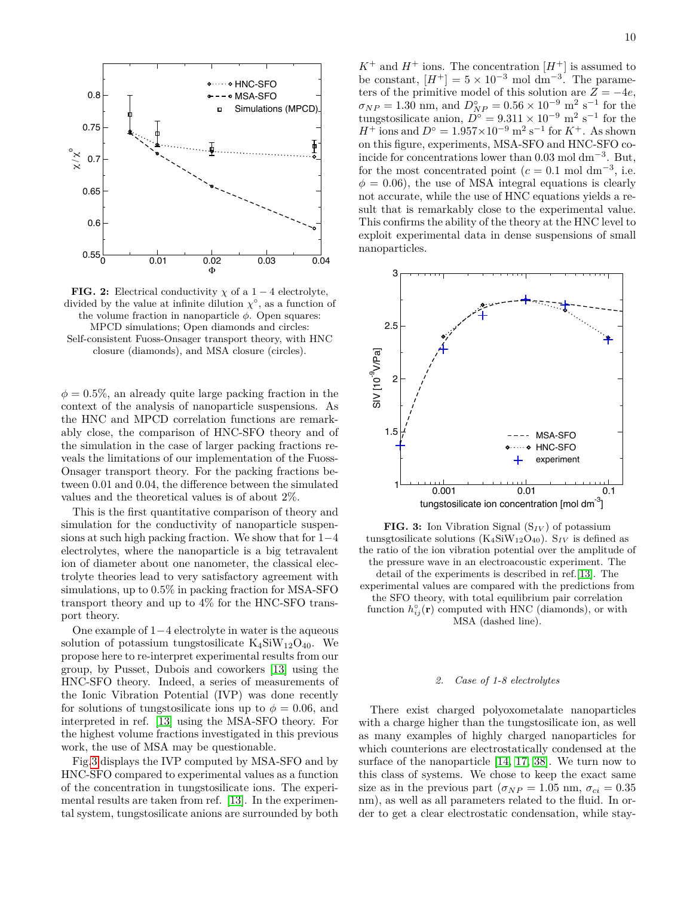<span id="page-9-0"></span>

**FIG. 2:** Electrical conductivity  $\chi$  of a 1 – 4 electrolyte, divided by the value at infinite dilution  $\chi^{\circ}$ , as a function of the volume fraction in nanoparticle  $\phi$ . Open squares: MPCD simulations; Open diamonds and circles: Self-consistent Fuoss-Onsager transport theory, with HNC closure (diamonds), and MSA closure (circles).

 $\phi = 0.5\%$ , an already quite large packing fraction in the context of the analysis of nanoparticle suspensions. As the HNC and MPCD correlation functions are remarkably close, the comparison of HNC-SFO theory and of the simulation in the case of larger packing fractions reveals the limitations of our implementation of the Fuoss-Onsager transport theory. For the packing fractions between 0*.*01 and 0*.*04, the difference between the simulated values and the theoretical values is of about 2%.

This is the first quantitative comparison of theory and simulation for the conductivity of nanoparticle suspensions at such high packing fraction. We show that for 1−4 electrolytes, where the nanoparticle is a big tetravalent ion of diameter about one nanometer, the classical electrolyte theories lead to very satisfactory agreement with simulations, up to 0*.*5% in packing fraction for MSA-SFO transport theory and up to 4% for the HNC-SFO transport theory.

One example of 1−4 electrolyte in water is the aqueous solution of potassium tungstosilicate  $K_4 \text{SiW}_{12}O_{40}$ . We propose here to re-interpret experimental results from our group, by Pusset, Dubois and coworkers [\[13\]](#page-12-11) using the HNC-SFO theory. Indeed, a series of measurements of the Ionic Vibration Potential (IVP) was done recently for solutions of tungstosilicate ions up to  $\phi = 0.06$ , and interpreted in ref. [\[13\]](#page-12-11) using the MSA-SFO theory. For the highest volume fractions investigated in this previous work, the use of MSA may be questionable.

Fig[.3](#page-9-1) displays the IVP computed by MSA-SFO and by HNC-SFO compared to experimental values as a function of the concentration in tungstosilicate ions. The experimental results are taken from ref. [\[13\]](#page-12-11). In the experimental system, tungstosilicate anions are surrounded by both

 $K^+$  and  $H^+$  ions. The concentration  $[H^+]$  is assumed to be constant,  $[H^+] = 5 \times 10^{-3}$  mol dm<sup>-3</sup>. The parameters of the primitive model of this solution are  $Z = -4e$ ,  $\sigma_{NP} = 1.30$  nm, and  $D_{NP}^{\circ} = 0.56 \times 10^{-9}$  m<sup>2</sup> s<sup>-1</sup> for the tungstosilicate anion,  $\overline{D}^{\circ} = 9.311 \times 10^{-9}$  m<sup>2</sup> s<sup>-1</sup> for the *H*<sup>+</sup> ions and  $D^{\circ} = 1.957 \times 10^{-9}$  m<sup>2</sup> s<sup>-1</sup> for *K*<sup>+</sup>. As shown on this figure, experiments, MSA-SFO and HNC-SFO coincide for concentrations lower than 0*.*03 mol dm−<sup>3</sup> . But, for the most concentrated point ( $c = 0.1$  mol dm<sup>-3</sup>, i.e.  $\phi = 0.06$ , the use of MSA integral equations is clearly not accurate, while the use of HNC equations yields a result that is remarkably close to the experimental value. This confirms the ability of the theory at the HNC level to exploit experimental data in dense suspensions of small nanoparticles.

<span id="page-9-1"></span>

**FIG. 3:** Ion Vibration Signal (S*IV* ) of potassium tunsgtosilicate solutions  $(K_4SiW_{12}O_{40})$ .  $S_{IV}$  is defined as the ratio of the ion vibration potential over the amplitude of the pressure wave in an electroacoustic experiment. The detail of the experiments is described in ref.[\[13\]](#page-12-11). The experimental values are compared with the predictions from the SFO theory, with total equilibrium pair correlation function  $h_{ij}^{\circ}(\mathbf{r})$  computed with HNC (diamonds), or with MSA (dashed line).

## *2. Case of 1-8 electrolytes*

There exist charged polyoxometalate nanoparticles with a charge higher than the tungstosilicate ion, as well as many examples of highly charged nanoparticles for which counterions are electrostatically condensed at the surface of the nanoparticle [\[14,](#page-12-12) [17,](#page-13-2) [38\]](#page-13-22). We turn now to this class of systems. We chose to keep the exact same size as in the previous part ( $\sigma_{NP} = 1.05$  nm,  $\sigma_{ci} = 0.35$ ) nm), as well as all parameters related to the fluid. In order to get a clear electrostatic condensation, while stay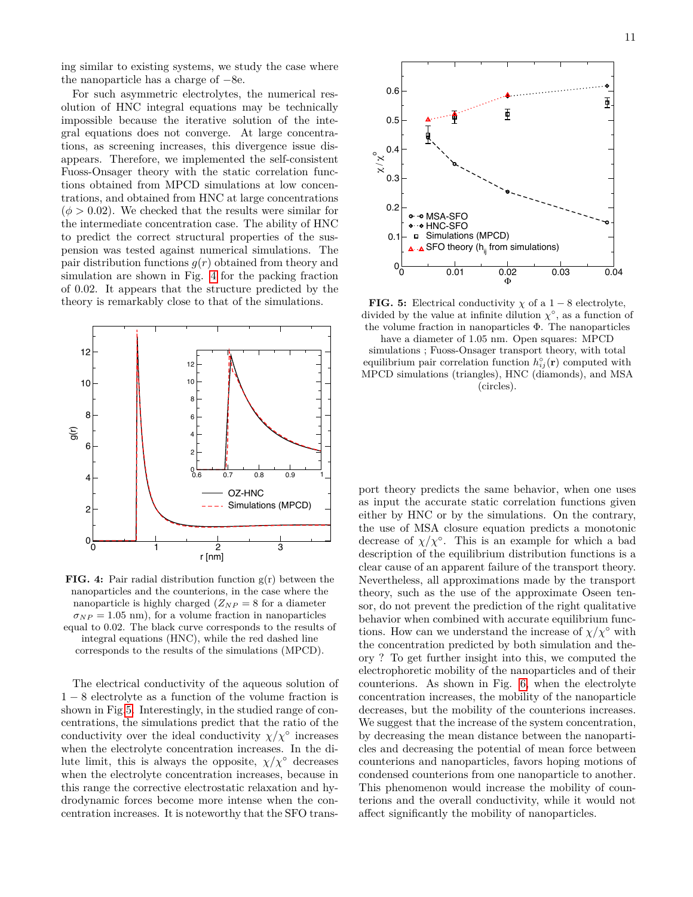ing similar to existing systems, we study the case where the nanoparticle has a charge of −8e.

For such asymmetric electrolytes, the numerical resolution of HNC integral equations may be technically impossible because the iterative solution of the integral equations does not converge. At large concentrations, as screening increases, this divergence issue disappears. Therefore, we implemented the self-consistent Fuoss-Onsager theory with the static correlation functions obtained from MPCD simulations at low concentrations, and obtained from HNC at large concentrations  $(\phi > 0.02)$ . We checked that the results were similar for the intermediate concentration case. The ability of HNC to predict the correct structural properties of the suspension was tested against numerical simulations. The pair distribution functions *g*(*r*) obtained from theory and simulation are shown in Fig. [4](#page-10-0) for the packing fraction of 0*.*02. It appears that the structure predicted by the theory is remarkably close to that of the simulations.

<span id="page-10-0"></span>

**FIG. 4:** Pair radial distribution function g(r) between the nanoparticles and the counterions, in the case where the nanoparticle is highly charged  $(Z_{NP} = 8$  for a diameter  $\sigma_{NP} = 1.05$  nm), for a volume fraction in nanoparticles equal to 0*.*02. The black curve corresponds to the results of integral equations (HNC), while the red dashed line corresponds to the results of the simulations (MPCD).

The electrical conductivity of the aqueous solution of 1 − 8 electrolyte as a function of the volume fraction is shown in Fig[.5.](#page-10-1) Interestingly, in the studied range of concentrations, the simulations predict that the ratio of the conductivity over the ideal conductivity  $\chi/\chi^{\circ}$  increases when the electrolyte concentration increases. In the dilute limit, this is always the opposite,  $\chi/\chi^{\circ}$  decreases when the electrolyte concentration increases, because in this range the corrective electrostatic relaxation and hydrodynamic forces become more intense when the concentration increases. It is noteworthy that the SFO trans-

<span id="page-10-1"></span>

**FIG. 5:** Electrical conductivity  $\chi$  of a 1 – 8 electrolyte, divided by the value at infinite dilution  $\chi^{\circ}$ , as a function of the volume fraction in nanoparticles  $\Phi$ . The nanoparticles

have a diameter of 1*.*05 nm. Open squares: MPCD simulations ; Fuoss-Onsager transport theory, with total equilibrium pair correlation function  $h_{ij}^{\circ}(\mathbf{r})$  computed with MPCD simulations (triangles), HNC (diamonds), and MSA (circles).

port theory predicts the same behavior, when one uses as input the accurate static correlation functions given either by HNC or by the simulations. On the contrary, the use of MSA closure equation predicts a monotonic decrease of  $\chi/\chi^{\circ}$ . This is an example for which a bad description of the equilibrium distribution functions is a clear cause of an apparent failure of the transport theory. Nevertheless, all approximations made by the transport theory, such as the use of the approximate Oseen tensor, do not prevent the prediction of the right qualitative behavior when combined with accurate equilibrium functions. How can we understand the increase of  $\chi/\chi^{\circ}$  with the concentration predicted by both simulation and theory ? To get further insight into this, we computed the electrophoretic mobility of the nanoparticles and of their counterions. As shown in Fig. [6,](#page-11-0) when the electrolyte concentration increases, the mobility of the nanoparticle decreases, but the mobility of the counterions increases. We suggest that the increase of the system concentration, by decreasing the mean distance between the nanoparticles and decreasing the potential of mean force between counterions and nanoparticles, favors hoping motions of condensed counterions from one nanoparticle to another. This phenomenon would increase the mobility of counterions and the overall conductivity, while it would not affect significantly the mobility of nanoparticles.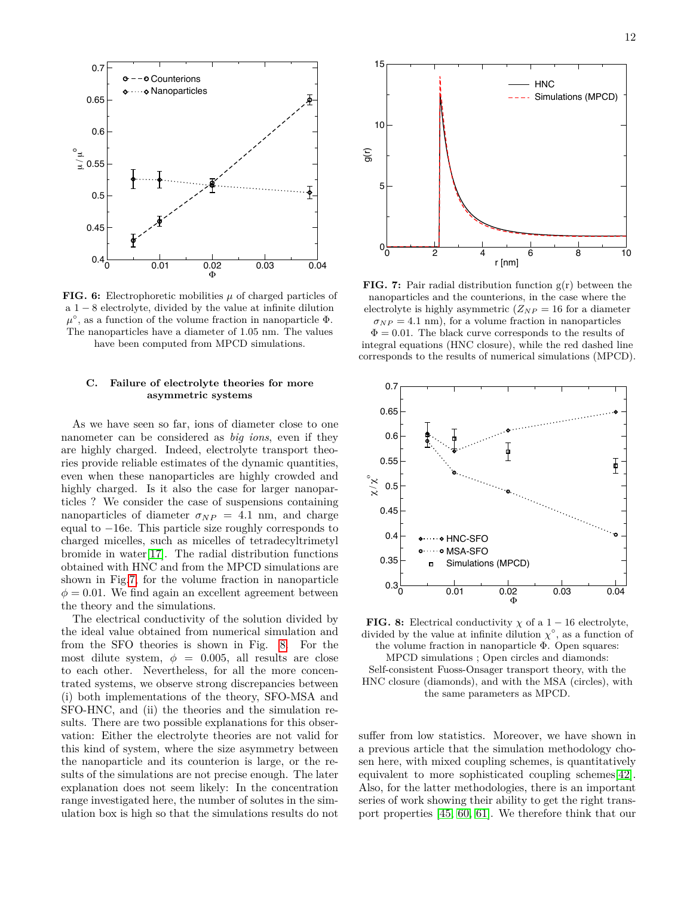<span id="page-11-0"></span>

**FIG. 6:** Electrophoretic mobilities *µ* of charged particles of a 1 − 8 electrolyte, divided by the value at infinite dilution  $\mu^{\circ}$ , as a function of the volume fraction in nanoparticle  $\Phi$ . The nanoparticles have a diameter of 1*.*05 nm. The values have been computed from MPCD simulations.

# **C. Failure of electrolyte theories for more asymmetric systems**

As we have seen so far, ions of diameter close to one nanometer can be considered as *big ions*, even if they are highly charged. Indeed, electrolyte transport theories provide reliable estimates of the dynamic quantities, even when these nanoparticles are highly crowded and highly charged. Is it also the case for larger nanoparticles ? We consider the case of suspensions containing nanoparticles of diameter  $\sigma_{NP} = 4.1$  nm, and charge equal to −16e. This particle size roughly corresponds to charged micelles, such as micelles of tetradecyltrimetyl bromide in water[\[17\]](#page-13-2). The radial distribution functions obtained with HNC and from the MPCD simulations are shown in Fig[.7,](#page-11-1) for the volume fraction in nanoparticle  $\phi = 0.01$ . We find again an excellent agreement between the theory and the simulations.

The electrical conductivity of the solution divided by the ideal value obtained from numerical simulation and from the SFO theories is shown in Fig. [8.](#page-11-2) For the most dilute system,  $\phi = 0.005$ , all results are close to each other. Nevertheless, for all the more concentrated systems, we observe strong discrepancies between (i) both implementations of the theory, SFO-MSA and SFO-HNC, and (ii) the theories and the simulation results. There are two possible explanations for this observation: Either the electrolyte theories are not valid for this kind of system, where the size asymmetry between the nanoparticle and its counterion is large, or the results of the simulations are not precise enough. The later explanation does not seem likely: In the concentration range investigated here, the number of solutes in the sim-

<span id="page-11-1"></span>

**FIG. 7:** Pair radial distribution function g(r) between the nanoparticles and the counterions, in the case where the electrolyte is highly asymmetric  $(Z_{NP} = 16$  for a diameter

<span id="page-11-2"></span> $\sigma_{NP} = 4.1$  nm), for a volume fraction in nanoparticles  $\Phi = 0.01$ . The black curve corresponds to the results of integral equations (HNC closure), while the red dashed line corresponds to the results of numerical simulations (MPCD).



**FIG. 8:** Electrical conductivity  $\chi$  of a 1 – 16 electrolyte, divided by the value at infinite dilution  $\chi^{\circ}$ , as a function of the volume fraction in nanoparticle Φ. Open squares: MPCD simulations ; Open circles and diamonds: Self-consistent Fuoss-Onsager transport theory, with the HNC closure (diamonds), and with the MSA (circles), with

the same parameters as MPCD.

suffer from low statistics. Moreover, we have shown in a previous article that the simulation methodology chosen here, with mixed coupling schemes, is quantitatively equivalent to more sophisticated coupling schemes[\[42\]](#page-13-36). Also, for the latter methodologies, there is an important series of work showing their ability to get the right transport properties [\[45,](#page-13-28) [60,](#page-13-44) [61\]](#page-13-45). We therefore think that our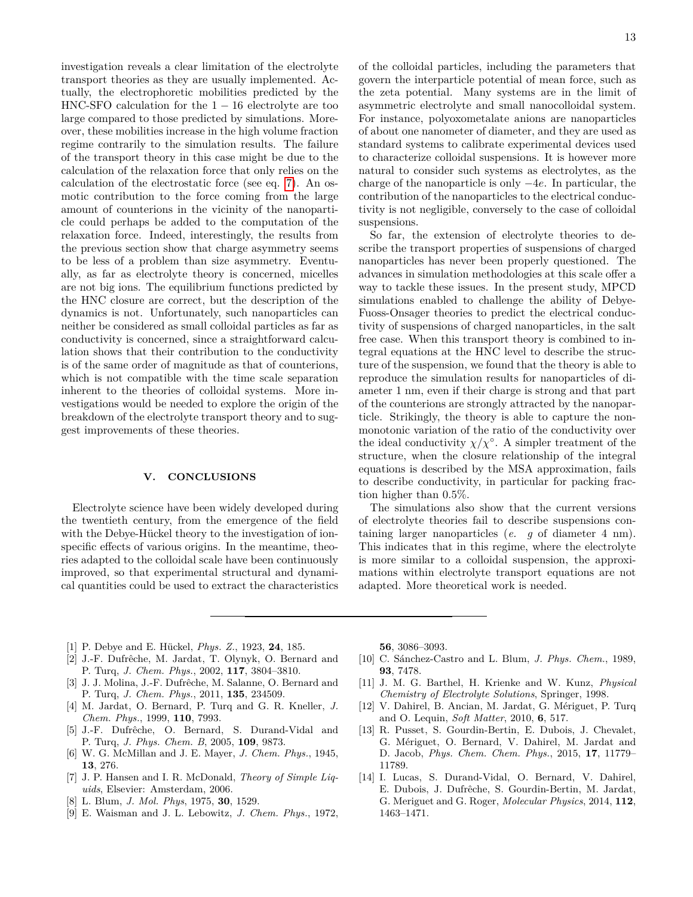investigation reveals a clear limitation of the electrolyte transport theories as they are usually implemented. Actually, the electrophoretic mobilities predicted by the HNC-SFO calculation for the  $1-16$  electrolyte are too large compared to those predicted by simulations. Moreover, these mobilities increase in the high volume fraction regime contrarily to the simulation results. The failure of the transport theory in this case might be due to the calculation of the relaxation force that only relies on the calculation of the electrostatic force (see eq. [7\)](#page-4-1). An osmotic contribution to the force coming from the large amount of counterions in the vicinity of the nanoparticle could perhaps be added to the computation of the relaxation force. Indeed, interestingly, the results from the previous section show that charge asymmetry seems to be less of a problem than size asymmetry. Eventually, as far as electrolyte theory is concerned, micelles are not big ions. The equilibrium functions predicted by the HNC closure are correct, but the description of the dynamics is not. Unfortunately, such nanoparticles can neither be considered as small colloidal particles as far as conductivity is concerned, since a straightforward calculation shows that their contribution to the conductivity is of the same order of magnitude as that of counterions, which is not compatible with the time scale separation inherent to the theories of colloidal systems. More investigations would be needed to explore the origin of the breakdown of the electrolyte transport theory and to suggest improvements of these theories.

## **V. CONCLUSIONS**

Electrolyte science have been widely developed during the twentieth century, from the emergence of the field with the Debye-Hückel theory to the investigation of ionspecific effects of various origins. In the meantime, theories adapted to the colloidal scale have been continuously improved, so that experimental structural and dynamical quantities could be used to extract the characteristics of the colloidal particles, including the parameters that govern the interparticle potential of mean force, such as the zeta potential. Many systems are in the limit of asymmetric electrolyte and small nanocolloidal system. For instance, polyoxometalate anions are nanoparticles of about one nanometer of diameter, and they are used as standard systems to calibrate experimental devices used to characterize colloidal suspensions. It is however more natural to consider such systems as electrolytes, as the charge of the nanoparticle is only −4*e*. In particular, the contribution of the nanoparticles to the electrical conductivity is not negligible, conversely to the case of colloidal suspensions.

So far, the extension of electrolyte theories to describe the transport properties of suspensions of charged nanoparticles has never been properly questioned. The advances in simulation methodologies at this scale offer a way to tackle these issues. In the present study, MPCD simulations enabled to challenge the ability of Debye-Fuoss-Onsager theories to predict the electrical conductivity of suspensions of charged nanoparticles, in the salt free case. When this transport theory is combined to integral equations at the HNC level to describe the structure of the suspension, we found that the theory is able to reproduce the simulation results for nanoparticles of diameter 1 nm, even if their charge is strong and that part of the counterions are strongly attracted by the nanoparticle. Strikingly, the theory is able to capture the nonmonotonic variation of the ratio of the conductivity over the ideal conductivity  $\chi/\chi^{\circ}$ . A simpler treatment of the structure, when the closure relationship of the integral equations is described by the MSA approximation, fails to describe conductivity, in particular for packing fraction higher than 0*.*5%.

The simulations also show that the current versions of electrolyte theories fail to describe suspensions containing larger nanoparticles (*e. g* of diameter 4 nm). This indicates that in this regime, where the electrolyte is more similar to a colloidal suspension, the approximations within electrolyte transport equations are not adapted. More theoretical work is needed.

- <span id="page-12-0"></span>[1] P. Debye and E. Hückel, *Phys. Z.*, 1923, **24**, 185.
- <span id="page-12-1"></span>[2] J.-F. Dufrêche, M. Jardat, T. Olynyk, O. Bernard and P. Turq, *J. Chem. Phys.*, 2002, **117**, 3804–3810.
- <span id="page-12-2"></span>[3] J. J. Molina, J.-F. Dufrêche, M. Salanne, O. Bernard and P. Turq, *J. Chem. Phys.*, 2011, **135**, 234509.
- <span id="page-12-3"></span>[4] M. Jardat, O. Bernard, P. Turq and G. R. Kneller, *J. Chem. Phys.*, 1999, **110**, 7993.
- <span id="page-12-4"></span>[5] J.-F. Dufrêche, O. Bernard, S. Durand-Vidal and P. Turq, *J. Phys. Chem. B*, 2005, **109**, 9873.
- <span id="page-12-5"></span>[6] W. G. McMillan and J. E. Mayer, *J. Chem. Phys.*, 1945, **13**, 276.
- <span id="page-12-6"></span>[7] J. P. Hansen and I. R. McDonald, *Theory of Simple Liquids*, Elsevier: Amsterdam, 2006.
- <span id="page-12-7"></span>[8] L. Blum, *J. Mol. Phys*, 1975, **30**, 1529.
- [9] E. Waisman and J. L. Lebowitz, *J. Chem. Phys.*, 1972,

**56**, 3086–3093.

- <span id="page-12-8"></span>[10] C. Sánchez-Castro and L. Blum, *J. Phys. Chem.*, 1989, **93**, 7478.
- <span id="page-12-9"></span>[11] J. M. G. Barthel, H. Krienke and W. Kunz, *Physical Chemistry of Electrolyte Solutions*, Springer, 1998.
- <span id="page-12-10"></span>[12] V. Dahirel, B. Ancian, M. Jardat, G. Mériguet, P. Turq and O. Lequin, *Soft Matter*, 2010, **6**, 517.
- <span id="page-12-11"></span>[13] R. Pusset, S. Gourdin-Bertin, E. Dubois, J. Chevalet, G. Mériguet, O. Bernard, V. Dahirel, M. Jardat and D. Jacob, *Phys. Chem. Chem. Phys.*, 2015, **17**, 11779– 11789.
- <span id="page-12-12"></span>[14] I. Lucas, S. Durand-Vidal, O. Bernard, V. Dahirel, E. Dubois, J. Dufrêche, S. Gourdin-Bertin, M. Jardat, G. Meriguet and G. Roger, *Molecular Physics*, 2014, **112**, 1463–1471.